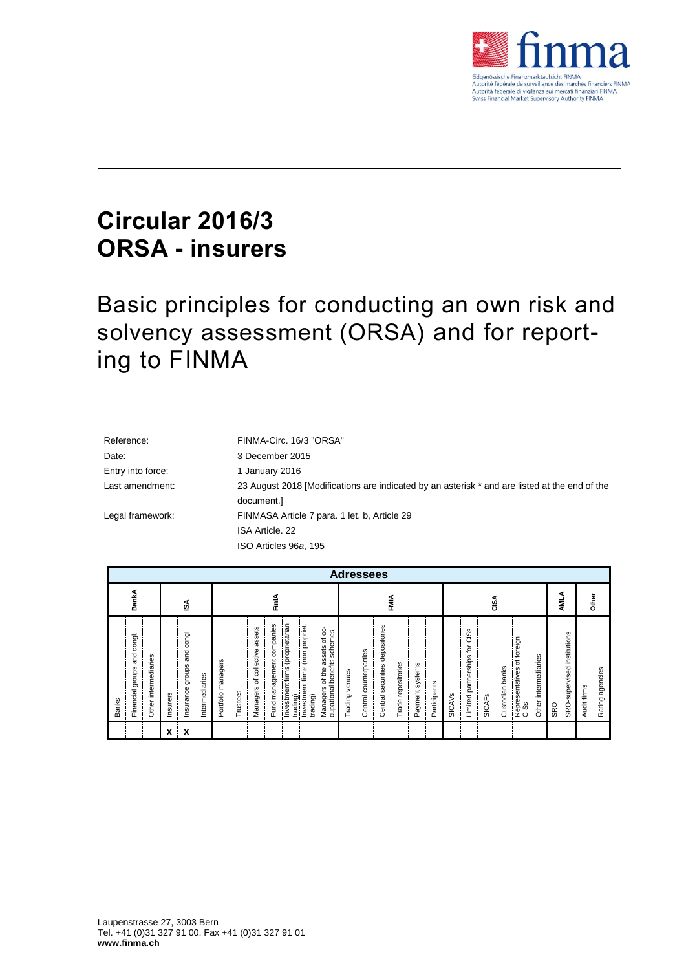

## **Circular 2016/3 ORSA - insurers**

Basic principles for conducting an own risk and solvency assessment (ORSA) and for reporting to FINMA

| Reference:        | FINMA-Circ. 16/3 "ORSA"                                                                       |
|-------------------|-----------------------------------------------------------------------------------------------|
| Date:             | 3 December 2015                                                                               |
| Entry into force: | 1 January 2016                                                                                |
| Last amendment:   | 23 August 2018 [Modifications are indicated by an asterisk * and are listed at the end of the |
|                   | document.]                                                                                    |
| Legal framework:  | FINMASA Article 7 para. 1 let. b, Article 29                                                  |
|                   | ISA Article, 22                                                                               |
|                   | ISO Articles 96a, 195                                                                         |

| <b>Adressees</b>                                                          |                                                                             |                                                                                                                                                                                                                                                                                |                                                                                                                                                |                                                                                                                                                                                              |                                           |                                |
|---------------------------------------------------------------------------|-----------------------------------------------------------------------------|--------------------------------------------------------------------------------------------------------------------------------------------------------------------------------------------------------------------------------------------------------------------------------|------------------------------------------------------------------------------------------------------------------------------------------------|----------------------------------------------------------------------------------------------------------------------------------------------------------------------------------------------|-------------------------------------------|--------------------------------|
| BankA                                                                     | ઙ∡                                                                          | FinlA                                                                                                                                                                                                                                                                          | FMIA                                                                                                                                           | CISA                                                                                                                                                                                         | AMLA                                      | <b>Other</b>                   |
| congl.<br>and<br>Other intermediaries<br>Financial groups<br><b>Banks</b> | congl.<br>and<br>groups<br>Intermediaries<br>Insurance<br>hsurers<br>X<br>x | Investment firms (proprietarian<br>companies<br>(non propriet.<br>assets<br>assets of oc<br>schemes<br>Managers of collective<br>management<br>cupational benefits<br>Portfolio managers<br>Investment firms<br>of the<br>Managers<br>Trustees<br>trading)<br>trading)<br>Fund | depositories<br>Central counterparties<br>Trade repositories<br>Payment systems<br>securities<br>venues<br>Participants<br>Trading<br>Central: | S<br>ës<br>foreign<br>tor<br>Limited partnerships<br>intermediaries<br>ัธ<br>banks<br>Representatives<br>Custodian<br><b>SICAVS</b><br><b>SICAF<sub>S</sub></b><br>Other<br>CIS <sub>S</sub> | SRO-supervised institutions<br><b>SRO</b> | Rating agencies<br>Audit firms |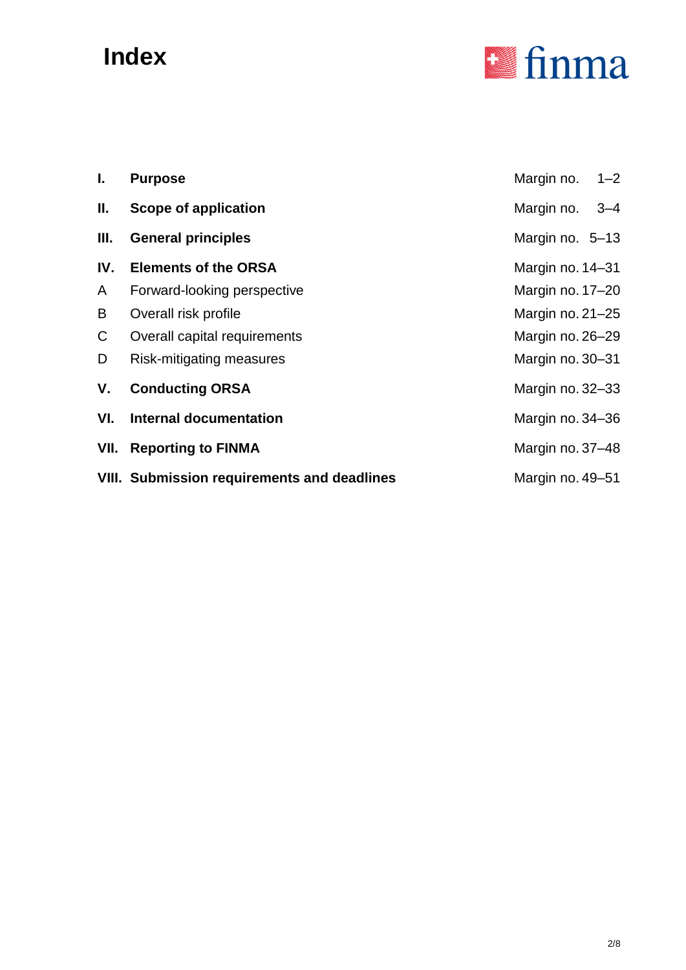# **Index**



| I.  | <b>Purpose</b>                                     | Margin no. 1-2   |  |
|-----|----------------------------------------------------|------------------|--|
| II. | <b>Scope of application</b>                        | Margin no. 3-4   |  |
| Ш.  | <b>General principles</b>                          | Margin no. 5-13  |  |
| IV. | <b>Elements of the ORSA</b>                        | Margin no. 14-31 |  |
| A   | Forward-looking perspective                        | Margin no. 17-20 |  |
| В   | Overall risk profile                               | Margin no. 21-25 |  |
| C.  | Overall capital requirements                       | Margin no. 26–29 |  |
| D   | Risk-mitigating measures                           | Margin no. 30-31 |  |
| ۷.  | <b>Conducting ORSA</b>                             | Margin no. 32-33 |  |
| VI. | <b>Internal documentation</b>                      | Margin no. 34-36 |  |
|     | <b>VII.</b> Reporting to FINMA                     | Margin no. 37-48 |  |
|     | <b>VIII. Submission requirements and deadlines</b> | Margin no. 49-51 |  |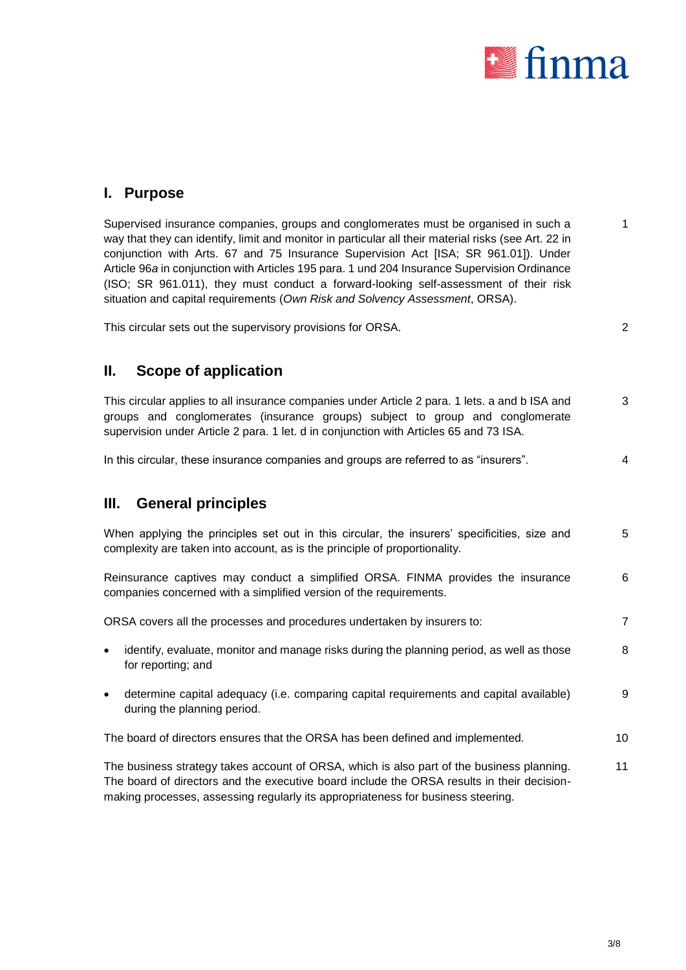

### **I. Purpose**

Supervised insurance companies, groups and conglomerates must be organised in such a way that they can identify, limit and monitor in particular all their material risks (see Art. 22 in conjunction with Arts. 67 and 75 Insurance Supervision Act [ISA; SR 961.01]). Under Article 96*a* in conjunction with Articles 195 para. 1 und 204 Insurance Supervision Ordinance (ISO; SR 961.011), they must conduct a forward-looking self-assessment of their risk situation and capital requirements (*Own Risk and Solvency Assessment*, ORSA). 1

This circular sets out the supervisory provisions for ORSA. 2

## **II. Scope of application**

This circular applies to all insurance companies under Article 2 para. 1 lets. a and b ISA and groups and conglomerates (insurance groups) subject to group and conglomerate supervision under Article 2 para. 1 let. d in conjunction with Articles 65 and 73 ISA. 3

In this circular, these insurance companies and groups are referred to as "insurers". 4

## **III. General principles**

When applying the principles set out in this circular, the insurers' specificities, size and complexity are taken into account, as is the principle of proportionality. 5

Reinsurance captives may conduct a simplified ORSA. FINMA provides the insurance companies concerned with a simplified version of the requirements. 6

ORSA covers all the processes and procedures undertaken by insurers to: 7

- identify, evaluate, monitor and manage risks during the planning period, as well as those for reporting; and 8
- determine capital adequacy (i.e. comparing capital requirements and capital available) during the planning period. 9
- The board of directors ensures that the ORSA has been defined and implemented. 10

The business strategy takes account of ORSA, which is also part of the business planning. The board of directors and the executive board include the ORSA results in their decisionmaking processes, assessing regularly its appropriateness for business steering. 11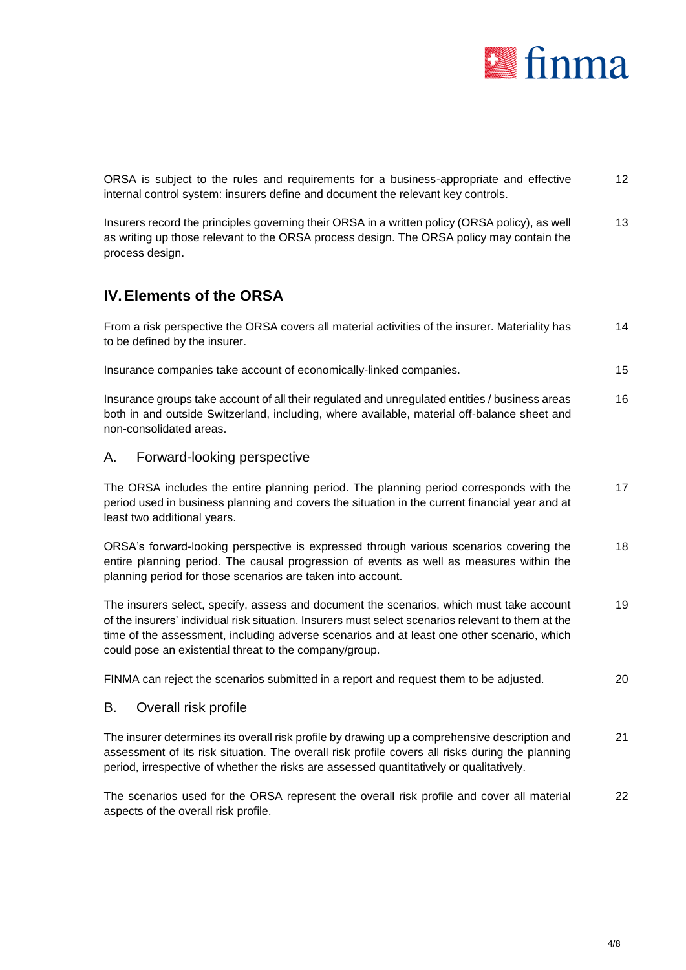

ORSA is subject to the rules and requirements for a business-appropriate and effective internal control system: insurers define and document the relevant key controls. 12

Insurers record the principles governing their ORSA in a written policy (ORSA policy), as well as writing up those relevant to the ORSA process design. The ORSA policy may contain the process design. 13

## **IV.Elements of the ORSA**

From a risk perspective the ORSA covers all material activities of the insurer. Materiality has to be defined by the insurer. 14

Insurance companies take account of economically-linked companies. 15

Insurance groups take account of all their regulated and unregulated entities / business areas both in and outside Switzerland, including, where available, material off-balance sheet and non-consolidated areas. 16

#### A. Forward-looking perspective

The ORSA includes the entire planning period. The planning period corresponds with the period used in business planning and covers the situation in the current financial year and at least two additional years. 17

ORSA's forward-looking perspective is expressed through various scenarios covering the entire planning period. The causal progression of events as well as measures within the planning period for those scenarios are taken into account. 18

The insurers select, specify, assess and document the scenarios, which must take account of the insurers' individual risk situation. Insurers must select scenarios relevant to them at the time of the assessment, including adverse scenarios and at least one other scenario, which could pose an existential threat to the company/group. 19

FINMA can reject the scenarios submitted in a report and request them to be adjusted. 20

#### B. Overall risk profile

The insurer determines its overall risk profile by drawing up a comprehensive description and assessment of its risk situation. The overall risk profile covers all risks during the planning period, irrespective of whether the risks are assessed quantitatively or qualitatively. 21

The scenarios used for the ORSA represent the overall risk profile and cover all material aspects of the overall risk profile. 22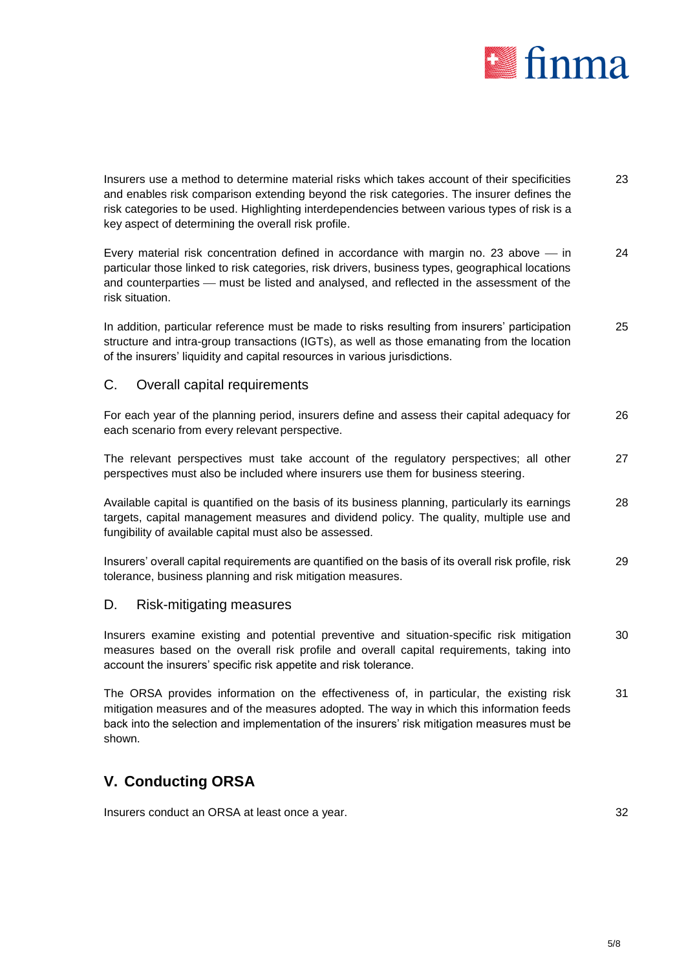

Insurers use a method to determine material risks which takes account of their specificities and enables risk comparison extending beyond the risk categories. The insurer defines the risk categories to be used. Highlighting interdependencies between various types of risk is a key aspect of determining the overall risk profile. 23

Every material risk concentration defined in accordance with margin no. 23 above  $-$  in particular those linked to risk categories, risk drivers, business types, geographical locations and counterparties - must be listed and analysed, and reflected in the assessment of the risk situation. 24

In addition, particular reference must be made to risks resulting from insurers' participation structure and intra-group transactions (IGTs), as well as those emanating from the location of the insurers' liquidity and capital resources in various jurisdictions. 25

#### C. Overall capital requirements

For each year of the planning period, insurers define and assess their capital adequacy for each scenario from every relevant perspective. 26

The relevant perspectives must take account of the regulatory perspectives; all other perspectives must also be included where insurers use them for business steering. 27

Available capital is quantified on the basis of its business planning, particularly its earnings targets, capital management measures and dividend policy. The quality, multiple use and fungibility of available capital must also be assessed. 28

Insurers' overall capital requirements are quantified on the basis of its overall risk profile, risk tolerance, business planning and risk mitigation measures. 29

#### D. Risk-mitigating measures

Insurers examine existing and potential preventive and situation-specific risk mitigation measures based on the overall risk profile and overall capital requirements, taking into account the insurers' specific risk appetite and risk tolerance. 30

The ORSA provides information on the effectiveness of, in particular, the existing risk mitigation measures and of the measures adopted. The way in which this information feeds back into the selection and implementation of the insurers' risk mitigation measures must be shown. 31

## **V. Conducting ORSA**

Insurers conduct an ORSA at least once a year.  $32$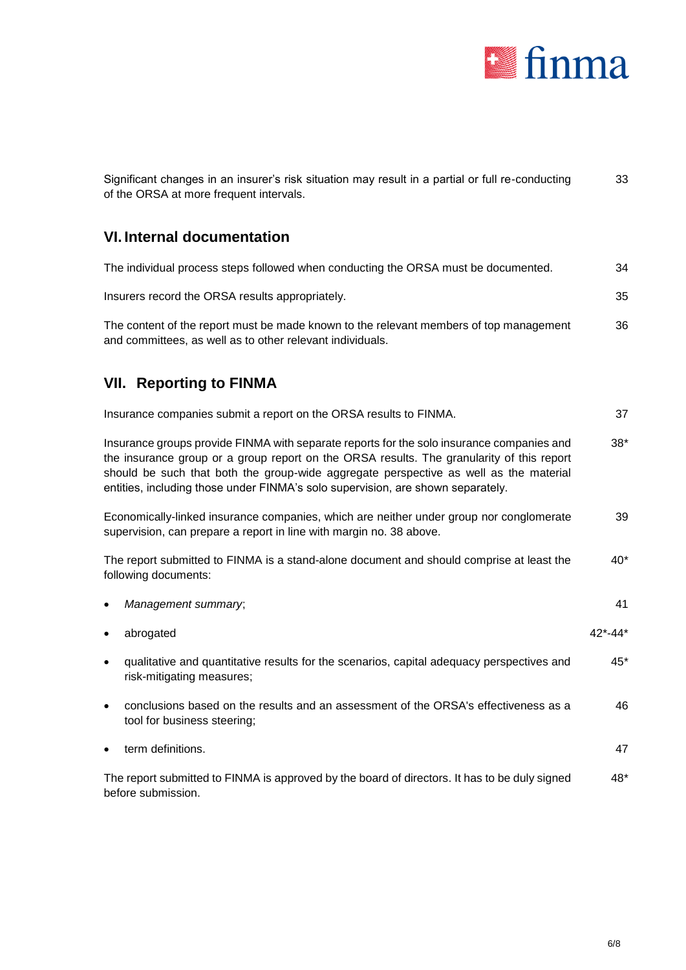

| Significant changes in an insurer's risk situation may result in a partial or full re-conducting<br>of the ORSA at more frequent intervals.                                                                                                                                                                                                                        |         |
|--------------------------------------------------------------------------------------------------------------------------------------------------------------------------------------------------------------------------------------------------------------------------------------------------------------------------------------------------------------------|---------|
| <b>VI. Internal documentation</b>                                                                                                                                                                                                                                                                                                                                  |         |
| The individual process steps followed when conducting the ORSA must be documented.                                                                                                                                                                                                                                                                                 | 34      |
| Insurers record the ORSA results appropriately.                                                                                                                                                                                                                                                                                                                    | 35      |
| The content of the report must be made known to the relevant members of top management<br>and committees, as well as to other relevant individuals.                                                                                                                                                                                                                | 36      |
| <b>VII. Reporting to FINMA</b>                                                                                                                                                                                                                                                                                                                                     |         |
| Insurance companies submit a report on the ORSA results to FINMA.                                                                                                                                                                                                                                                                                                  | 37      |
| Insurance groups provide FINMA with separate reports for the solo insurance companies and<br>the insurance group or a group report on the ORSA results. The granularity of this report<br>should be such that both the group-wide aggregate perspective as well as the material<br>entities, including those under FINMA's solo supervision, are shown separately. |         |
| Economically-linked insurance companies, which are neither under group nor conglomerate<br>supervision, can prepare a report in line with margin no. 38 above.                                                                                                                                                                                                     | 39      |
| The report submitted to FINMA is a stand-alone document and should comprise at least the<br>following documents:                                                                                                                                                                                                                                                   | $40*$   |
| Management summary;                                                                                                                                                                                                                                                                                                                                                | 41      |
| abrogated                                                                                                                                                                                                                                                                                                                                                          | 42*-44* |
| qualitative and quantitative results for the scenarios, capital adequacy perspectives and<br>$\bullet$<br>risk-mitigating measures;                                                                                                                                                                                                                                | $45*$   |
| conclusions based on the results and an assessment of the ORSA's effectiveness as a<br>tool for business steering;                                                                                                                                                                                                                                                 | 46      |
| term definitions.                                                                                                                                                                                                                                                                                                                                                  | 47      |
| The report submitted to FINMA is approved by the board of directors. It has to be duly signed<br>before submission.                                                                                                                                                                                                                                                | 48*     |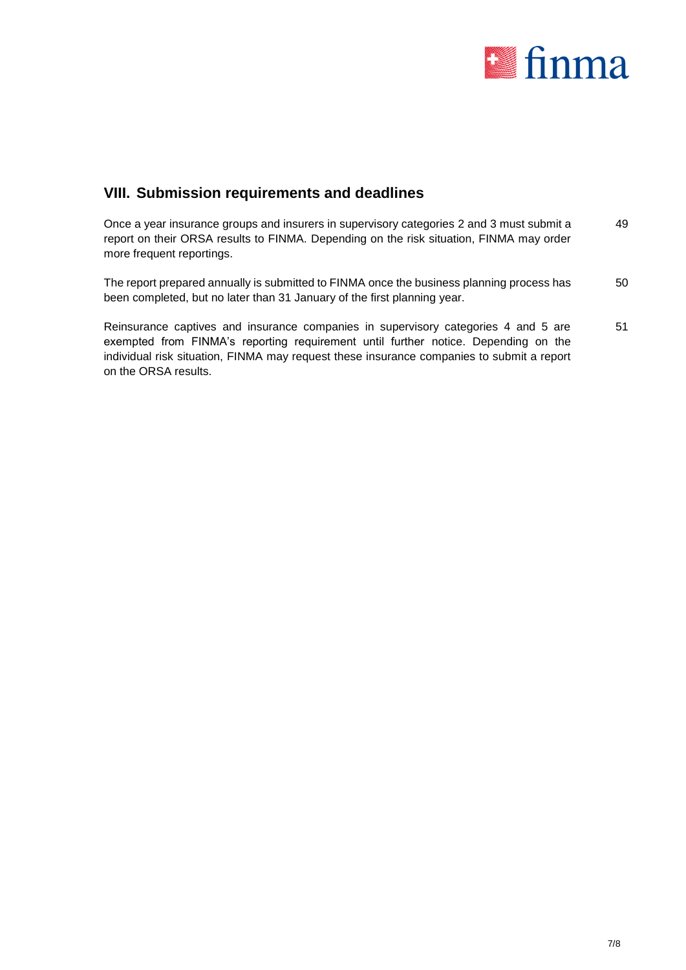

## **VIII. Submission requirements and deadlines**

| Once a year insurance groups and insurers in supervisory categories 2 and 3 must submit a<br>report on their ORSA results to FINMA. Depending on the risk situation, FINMA may order<br>more frequent reportings. | 49 |
|-------------------------------------------------------------------------------------------------------------------------------------------------------------------------------------------------------------------|----|
| The report prepared annually is submitted to FINMA once the business planning process has<br>been completed, but no later than 31 January of the first planning year.                                             | 50 |

Reinsurance captives and insurance companies in supervisory categories 4 and 5 are exempted from FINMA's reporting requirement until further notice. Depending on the individual risk situation, FINMA may request these insurance companies to submit a report on the ORSA results. 51